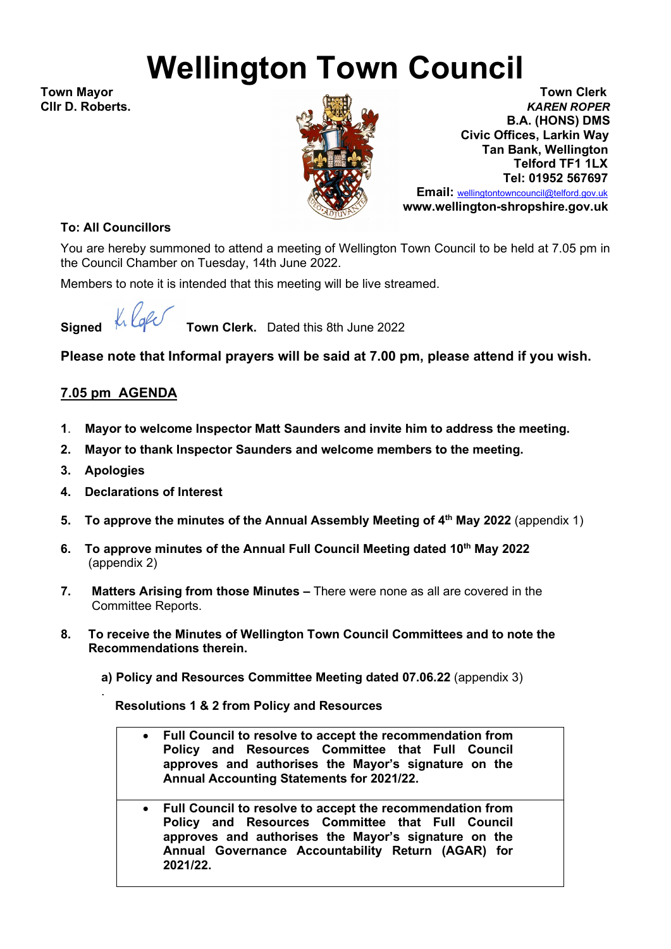## **Wellington Town Council**

**Cllr D. Roberts.** 



**Town Mayor Town Clerk B.A. (HONS) DMS** **Civic Offices, Larkin Way Tan Bank, Wellington Telford TF1 1LX Tel: 01952 567697**

> **Email:** [wellingtontowncouncil@telford.gov.uk](mailto:wellingtontowncouncil@telford.gov.uk)  **www.wellington-shropshire.gov.uk**

## **To: All Councillors**

You are hereby summoned to attend a meeting of Wellington Town Council to be held at 7.05 pm in the Council Chamber on Tuesday, 14th June 2022.

Members to note it is intended that this meeting will be live streamed.

**Signed**  $\frac{1}{2}$  **Signed**  $\frac{1}{2}$  **Town Clerk.** Dated this 8th June 2022

**Please note that Informal prayers will be said at 7.00 pm, please attend if you wish.**

## **7.05 pm AGENDA**

- **1**. **Mayor to welcome Inspector Matt Saunders and invite him to address the meeting.**
- **2. Mayor to thank Inspector Saunders and welcome members to the meeting.**
- **3. Apologies**

.

- **4. Declarations of Interest**
- **5. To approve the minutes of the Annual Assembly Meeting of 4th May 2022** (appendix 1)
- **6. To approve minutes of the Annual Full Council Meeting dated 10th May 2022** (appendix 2)
- **7. Matters Arising from those Minutes –** There were none as all are covered in the Committee Reports.
- **8. To receive the Minutes of Wellington Town Council Committees and to note the Recommendations therein.**
	- **a) Policy and Resources Committee Meeting dated 07.06.22** (appendix 3)

 **Resolutions 1 & 2 from Policy and Resources**

- **Full Council to resolve to accept the recommendation from Policy and Resources Committee that Full Council approves and authorises the Mayor's signature on the Annual Accounting Statements for 2021/22.**
- **Full Council to resolve to accept the recommendation from Policy and Resources Committee that Full Council approves and authorises the Mayor's signature on the Annual Governance Accountability Return (AGAR) for 2021/22.**